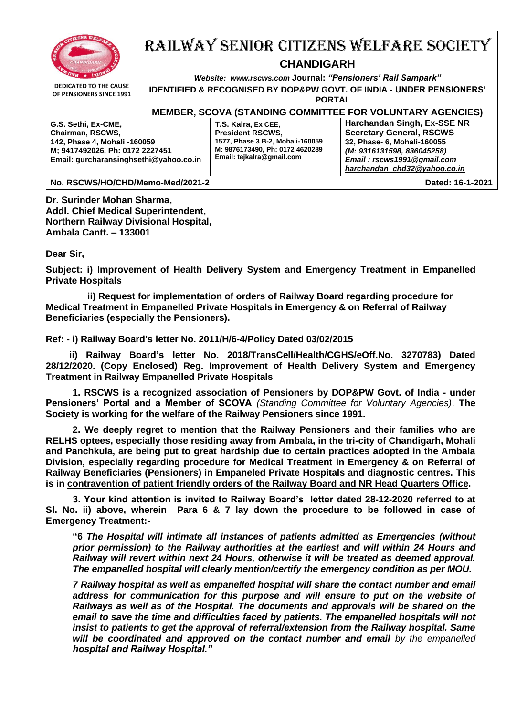

# RAILWAY SENIOR CITIZENS WELFARE SOCIETY **CHANDIGARH**

**DEDICATED TO THE CAUSE OF PENSIONERS SINCE 1991** *Website: [www.rscws.com](http://www.rscws.com/)* **Journal:** *"Pensioners' Rail Sampark"*

**IDENTIFIED & RECOGNISED BY DOP&PW GOVT. OF INDIA - UNDER PENSIONERS' PORTAL** 

**MEMBER, SCOVA (STANDING COMMITTEE FOR VOLUNTARY AGENCIES)**

| G.S. Sethi, Ex-CME,<br>Chairman, RSCWS,<br>142, Phase 4, Mohali -160059<br>M; 9417492026, Ph: 0172 2227451<br>Email: gurcharansinghsethi@yahoo.co.in | T.S. Kalra, Ex CEE,<br><b>President RSCWS.</b><br>1577, Phase 3 B-2, Mohali-160059<br>M: 9876173490, Ph: 0172 4620289<br>Email: tejkalra@gmail.com | Harchandan Singh, Ex-SSE NR<br><b>Secretary General, RSCWS</b><br>32, Phase- 6, Mohali-160055<br>(M: 9316131598, 836045258)<br>Email: rscws1991@gmail.com<br>harchandan_chd32@yahoo.co.in |
|------------------------------------------------------------------------------------------------------------------------------------------------------|----------------------------------------------------------------------------------------------------------------------------------------------------|-------------------------------------------------------------------------------------------------------------------------------------------------------------------------------------------|
|                                                                                                                                                      |                                                                                                                                                    |                                                                                                                                                                                           |
| No. RSCWS/HO/CHD/Memo-Med/2021-2                                                                                                                     |                                                                                                                                                    | Dated: 16-1-2021                                                                                                                                                                          |

**Dr. Surinder Mohan Sharma, Addl. Chief Medical Superintendent, Northern Railway Divisional Hospital, Ambala Cantt. – 133001** 

**Dear Sir,**

**Subject: i) Improvement of Health Delivery System and Emergency Treatment in Empanelled Private Hospitals** 

 **ii) Request for implementation of orders of Railway Board regarding procedure for Medical Treatment in Empanelled Private Hospitals in Emergency & on Referral of Railway Beneficiaries (especially the Pensioners).**

**Ref: - i) Railway Board's letter No. 2011/H/6-4/Policy Dated 03/02/2015**

 **ii) Railway Board's letter No. 2018/TransCell/Health/CGHS/eOff.No. 3270783) Dated 28/12/2020. (Copy Enclosed) Reg. Improvement of Health Delivery System and Emergency Treatment in Railway Empanelled Private Hospitals** 

**1. RSCWS is a recognized association of Pensioners by DOP&PW Govt. of India - under Pensioners' Portal and a Member of SCOVA** *(Standing Committee for Voluntary Agencies)*. **The Society is working for the welfare of the Railway Pensioners since 1991.** 

**2. We deeply regret to mention that the Railway Pensioners and their families who are RELHS optees, especially those residing away from Ambala, in the tri-city of Chandigarh, Mohali and Panchkula, are being put to great hardship due to certain practices adopted in the Ambala Division, especially regarding procedure for Medical Treatment in Emergency & on Referral of Railway Beneficiaries (Pensioners) in Empaneled Private Hospitals and diagnostic centres. This is in contravention of patient friendly orders of the Railway Board and NR Head Quarters Office.** 

**3. Your kind attention is invited to Railway Board's letter dated 28-12-2020 referred to at Sl. No. ii) above, wherein Para 6 & 7 lay down the procedure to be followed in case of Emergency Treatment:-**

**"6** *The Hospital will intimate all instances of patients admitted as Emergencies (without prior permission) to the Railway authorities at the earliest and will within 24 Hours and Railway will revert within next 24 Hours, otherwise it will be treated as deemed approval. The empanelled hospital will clearly mention/certify the emergency condition as per MOU.*

*7 Railway hospital as well as empanelled hospital will share the contact number and email address for communication for this purpose and will ensure to put on the website of Railways as well as of the Hospital. The documents and approvals will be shared on the email to save the time and difficulties faced by patients. The empanelled hospitals will not insist to patients to get the approval of referral/extension from the Railway hospital. Same will be coordinated and approved on the contact number and email by the empanelled hospital and Railway Hospital."*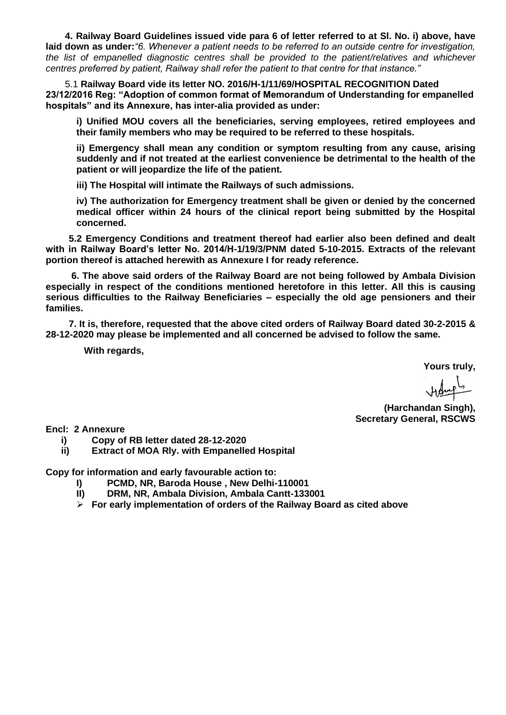**4. Railway Board Guidelines issued vide para 6 of letter referred to at Sl. No. i) above, have laid down as under:***"6. Whenever a patient needs to be referred to an outside centre for investigation, the list of empanelled diagnostic centres shall be provided to the patient/relatives and whichever centres preferred by patient, Railway shall refer the patient to that centre for that instance."*

5.1 **Railway Board vide its letter NO. 2016/H-1/11/69/HOSPITAL RECOGNITION Dated 23/12/2016 Reg: "Adoption of common format of Memorandum of Understanding for empanelled hospitals" and its Annexure, has inter-alia provided as under:**

**i) Unified MOU covers all the beneficiaries, serving employees, retired employees and their family members who may be required to be referred to these hospitals.**

**ii) Emergency shall mean any condition or symptom resulting from any cause, arising suddenly and if not treated at the earliest convenience be detrimental to the health of the patient or will jeopardize the life of the patient.**

**iii) The Hospital will intimate the Railways of such admissions.**

**iv) The authorization for Emergency treatment shall be given or denied by the concerned medical officer within 24 hours of the clinical report being submitted by the Hospital concerned.**

**5.2 Emergency Conditions and treatment thereof had earlier also been defined and dealt with in Railway Board's letter No. 2014/H-1/19/3/PNM dated 5-10-2015. Extracts of the relevant portion thereof is attached herewith as Annexure I for ready reference.**

**6. The above said orders of the Railway Board are not being followed by Ambala Division especially in respect of the conditions mentioned heretofore in this letter. All this is causing serious difficulties to the Railway Beneficiaries – especially the old age pensioners and their families.**

**7. It is, therefore, requested that the above cited orders of Railway Board dated 30-2-2015 & 28-12-2020 may please be implemented and all concerned be advised to follow the same.**

**With regards,**

**Yours truly,**

**(Harchandan Singh), Secretary General, RSCWS**

**Encl: 2 Annexure**

- **i) Copy of RB letter dated 28-12-2020**
- **ii) Extract of MOA Rly. with Empanelled Hospital**

**Copy for information and early favourable action to:**

- **I) PCMD, NR, Baroda House , New Delhi-110001**
- **II) DRM, NR, Ambala Division, Ambala Cantt-133001**
- ➢ **For early implementation of orders of the Railway Board as cited above**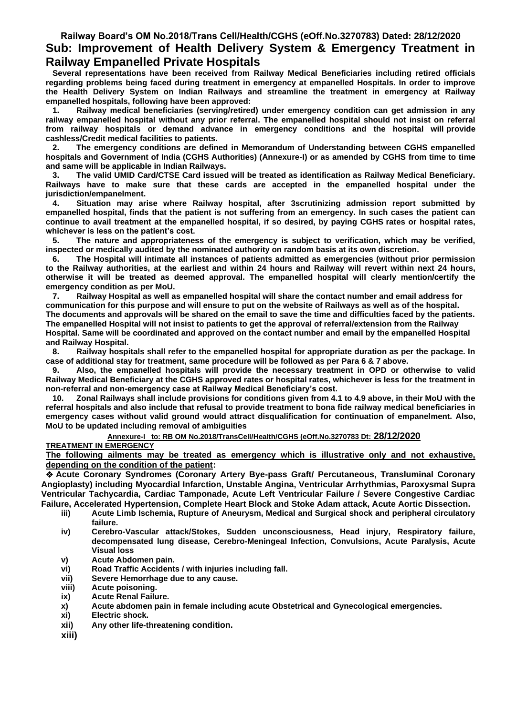## **Railway Board's OM No.2018/Trans Cell/Health/CGHS (eOff.No.3270783) Dated: 28/12/2020 Sub: Improvement of Health Delivery System & Emergency Treatment in Railway Empanelled Private Hospitals**

**Several representations have been received from Railway Medical Beneficiaries including retired officials regarding problems being faced during treatment in emergency at empanelled Hospitals. In order to improve the Health Delivery System on Indian Railways and streamline the treatment in emergency at Railway empanelled hospitals, following have been approved:** 

**1. Railway medical beneficiaries (serving/retired) under emergency condition can get admission in any railway empanelled hospital without any prior referral. The empanelled hospital should not insist on referral from railway hospitals or demand advance in emergency conditions and the hospital will provide cashless/Credit medical facilities to patients.** 

**2. The emergency conditions are defined in Memorandum of Understanding between CGHS empanelled hospitals and Government of India (CGHS Authorities) (Annexure-I) or as amended by CGHS from time to time and same will be applicable in Indian Railways.** 

**3. The valid UMID Card/CTSE Card issued will be treated as identification as Railway Medical Beneficiary. Railways have to make sure that these cards are accepted in the empanelled hospital under the jurisdiction/empanelment.** 

**4. Situation may arise where Railway hospital, after 3scrutinizing admission report submitted by empanelled hospital, finds that the patient is not suffering from an emergency. In such cases the patient can continue to avail treatment at the empanelled hospital, if so desired, by paying CGHS rates or hospital rates, whichever is less on the patient's cost.**

**5. The nature and appropriateness of the emergency is subject to verification, which may be verified, inspected or medically audited by the nominated authority on random basis at its own discretion.** 

**6. The Hospital will intimate all instances of patients admitted as emergencies (without prior permission to the Railway authorities, at the earliest and within 24 hours and Railway will revert within next 24 hours, otherwise it will be treated as deemed approval. The empanelled hospital will clearly mention/certify the emergency condition as per MoU.**

**7. Railway Hospital as well as empanelled hospital will share the contact number and email address for communication for this purpose and will ensure to put on the website of Railways as well as of the hospital. The documents and approvals will be shared on the email to save the time and difficulties faced by the patients. The empanelled Hospital will not insist to patients to get the approval of referral/extension from the Railway Hospital. Same will be coordinated and approved on the contact number and email by the empanelled Hospital and Railway Hospital.** 

**8. Railway hospitals shall refer to the empanelled hospital for appropriate duration as per the package. In case of additional stay for treatment, same procedure will be followed as per Para 6 & 7 above.** 

**9. Also, the empanelled hospitals will provide the necessary treatment in OPD or otherwise to valid Railway Medical Beneficiary at the CGHS approved rates or hospital rates, whichever is less for the treatment in non-referral and non-emergency case at Railway Medical Beneficiary's cost.** 

**10. Zonal Railways shall include provisions for conditions given from 4.1 to 4.9 above, in their MoU with the referral hospitals and also include that refusal to provide treatment to bona fide railway medical beneficiaries in emergency cases without valid ground would attract disqualification for continuation of empanelment. Also, MoU to be updated including removal of ambiguities** 

#### **Annexure-I to: RB OM No.2018/TransCell/Health/CGHS (eOff.No.3270783 Dt: 28/12/2020**

#### **TREATMENT IN EMERGENCY**

**The following ailments may be treated as emergency which is illustrative only and not exhaustive, depending on the condition of the patient:**

❖ **Acute Coronary Syndromes (Coronary Artery Bye-pass Graft/ Percutaneous, Transluminal Coronary Angioplasty) including Myocardial Infarction, Unstable Angina, Ventricular Arrhythmias, Paroxysmal Supra Ventricular Tachycardia, Cardiac Tamponade, Acute Left Ventricular Failure / Severe Congestive Cardiac Failure, Accelerated Hypertension, Complete Heart Block and Stoke Adam attack, Acute Aortic Dissection.** 

- **iii) Acute Limb Ischemia, Rupture of Aneurysm, Medical and Surgical shock and peripheral circulatory failure.**
- **iv) Cerebro-Vascular attack/Stokes, Sudden unconsciousness, Head injury, Respiratory failure, decompensated lung disease, Cerebro-Meningeal Infection, Convulsions, Acute Paralysis, Acute Visual loss**
- **v) Acute Abdomen pain.**
- **vi) Road Traffic Accidents / with injuries including fall.**
- **vii) Severe Hemorrhage due to any cause.**
- **viii) Acute poisoning.**
- 
- **ix) Acute Renal Failure. x) Acute abdomen pain in female including acute Obstetrical and Gynecological emergencies.**
- **xi) Electric shock.**
- **xii) Any other life-threatening condition.**
- **xiii)**